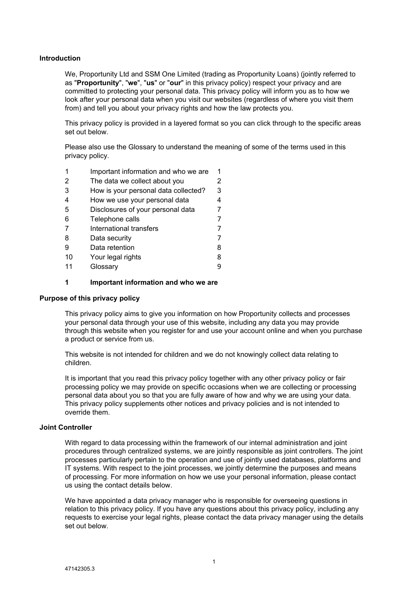### **Introduction**

We, Proportunity Ltd and SSM One Limited (trading as Proportunity Loans) (jointly referred to as "**Proportunity**", "**we**", "**us**" or "**our**" in this privacy policy) respect your privacy and are committed to protecting your personal data. This privacy policy will inform you as to how we look after your personal data when you visit our websites (regardless of where you visit them from) and tell you about your privacy rights and how the law protects you.

This privacy policy is provided in a layered format so you can click through to the specific areas set out below.

Please also use the Glossary to understand the meaning of some of the terms used in this privacy policy.

- 1 Important information and who we are 1
- 2 The data we collect about you 2
- 3 How is your personal data collected? 3
- 4 How we use your personal data 4
- 5 Disclosures of your personal data 7
- 6 Telephone calls 7
- [7](#page-7-0) [International](#page-7-0) transfers 7 8 Data security 7 9 Data retention 8
- 10 Your legal rights 8 11 Glossary 9

### **1 Important information and who we are**

#### **Purpose of this privacy policy**

This privacy policy aims to give you information on how Proportunity collects and processes your personal data through your use of this website, including any data you may provide through this website when you register for and use your account online and when you purchase a product or service from us.

This website is not intended for children and we do not knowingly collect data relating to children.

It is important that you read this privacy policy together with any other privacy policy or fair processing policy we may provide on specific occasions when we are collecting or processing personal data about you so that you are fully aware of how and why we are using your data. This privacy policy supplements other notices and privacy policies and is not intended to override them.

#### **Joint Controller**

With regard to data processing within the framework of our internal administration and joint procedures through centralized systems, we are jointly responsible as joint controllers. The joint processes particularly pertain to the operation and use of jointly used databases, platforms and IT systems. With respect to the joint processes, we jointly determine the purposes and means of processing. For more information on how we use your personal information, please contact us using the contact details below.

We have appointed a data privacy manager who is responsible for overseeing questions in relation to this privacy policy. If you have any questions about this privacy policy, including any requests to exercise your legal rights, please contact the data privacy manager using the details set out below.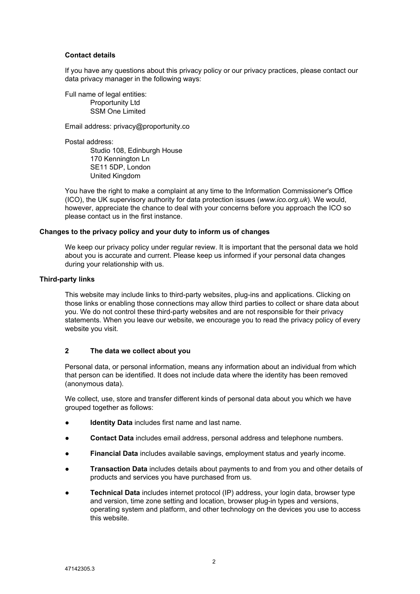### **Contact details**

If you have any questions about this privacy policy or our privacy practices, please contact our data privacy manager in the following ways:

Full name of legal entities: Proportunity Ltd SSM One Limited

Email address: privacy@proportunity.co

Postal address: Studio 108, Edinburgh House 170 Kennington Ln SE11 5DP, London United Kingdom

You have the right to make a complaint at any time to the Information Commissioner's Office (ICO), the UK supervisory authority for data protection issues (*www.ico.org.uk*). We would, however, appreciate the chance to deal with your concerns before you approach the ICO so please contact us in the first instance.

### **Changes to the privacy policy and your duty to inform us of changes**

We keep our privacy policy under regular review. It is important that the personal data we hold about you is accurate and current. Please keep us informed if your personal data changes during your relationship with us.

### **Third-party links**

This website may include links to third-party websites, plug-ins and applications. Clicking on those links or enabling those connections may allow third parties to collect or share data about you. We do not control these third-party websites and are not responsible for their privacy statements. When you leave our website, we encourage you to read the privacy policy of every website you visit.

## **2 The data we collect about you**

Personal data, or personal information, means any information about an individual from which that person can be identified. It does not include data where the identity has been removed (anonymous data).

We collect, use, store and transfer different kinds of personal data about you which we have grouped together as follows:

- **Identity Data** includes first name and last name.
- **Contact Data** includes email address, personal address and telephone numbers.
- **Financial Data** includes available savings, employment status and yearly income.
- **Transaction Data** includes details about payments to and from you and other details of products and services you have purchased from us.
- **Technical Data** includes internet protocol (IP) address, your login data, browser type and version, time zone setting and location, browser plug-in types and versions, operating system and platform, and other technology on the devices you use to access this website.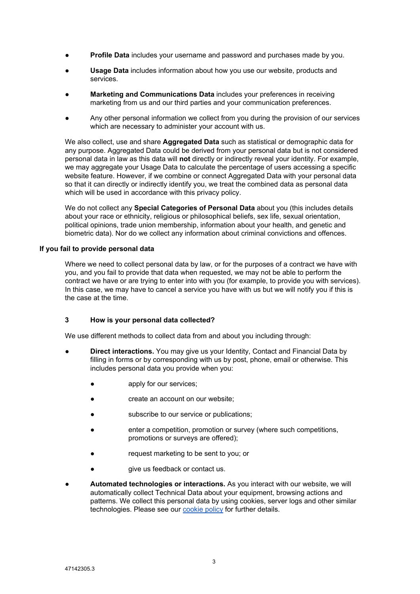- **Profile Data** includes your username and password and purchases made by you.
- **Usage Data** includes information about how you use our website, products and services.
- **Marketing and Communications Data** includes your preferences in receiving marketing from us and our third parties and your communication preferences.
- Any other personal information we collect from you during the provision of our services which are necessary to administer your account with us.

We also collect, use and share **Aggregated Data** such as statistical or demographic data for any purpose. Aggregated Data could be derived from your personal data but is not considered personal data in law as this data will **not** directly or indirectly reveal your identity. For example, we may aggregate your Usage Data to calculate the percentage of users accessing a specific website feature. However, if we combine or connect Aggregated Data with your personal data so that it can directly or indirectly identify you, we treat the combined data as personal data which will be used in accordance with this privacy policy.

We do not collect any **Special Categories of Personal Data** about you (this includes details about your race or ethnicity, religious or philosophical beliefs, sex life, sexual orientation, political opinions, trade union membership, information about your health, and genetic and biometric data). Nor do we collect any information about criminal convictions and offences.

### **If you fail to provide personal data**

Where we need to collect personal data by law, or for the purposes of a contract we have with you, and you fail to provide that data when requested, we may not be able to perform the contract we have or are trying to enter into with you (for example, to provide you with services). In this case, we may have to cancel a service you have with us but we will notify you if this is the case at the time.

## **3 How is your personal data collected?**

We use different methods to collect data from and about you including through:

- **Direct interactions.** You may give us your Identity, Contact and Financial Data by filling in forms or by corresponding with us by post, phone, email or otherwise. This includes personal data you provide when you:
	- apply for our services;
	- create an account on our website;
	- subscribe to our service or publications;
	- enter a competition, promotion or survey (where such competitions, promotions or surveys are offered);
	- request marketing to be sent to you; or
	- give us feedback or contact us.
- **Automated technologies or interactions.** As you interact with our website, we will automatically collect Technical Data about your equipment, browsing actions and patterns. We collect this personal data by using cookies, server logs and other similar technologies. Please see our **[cookie](https://proportunity.co/documentation/cookie-policy) policy** for further details.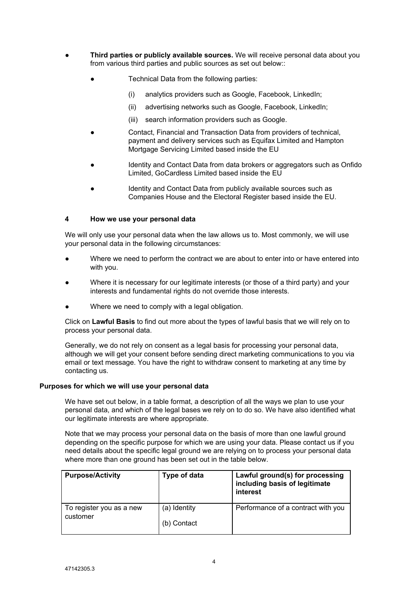- **Third parties or publicly available sources.** We will receive personal data about you from various third parties and public sources as set out below::
	- Technical Data from the following parties:
		- (i) analytics providers such as Google, Facebook, LinkedIn;
		- (ii) advertising networks such as Google, Facebook, LinkedIn;
		- (iii) search information providers such as Google.
	- Contact, Financial and Transaction Data from providers of technical, payment and delivery services such as Equifax Limited and Hampton Mortgage Servicing Limited based inside the EU
	- Identity and Contact Data from data brokers or aggregators such as Onfido Limited, GoCardless Limited based inside the EU
	- Identity and Contact Data from publicly available sources such as Companies House and the Electoral Register based inside the EU.

# **4 How we use your personal data**

We will only use your personal data when the law allows us to. Most commonly, we will use your personal data in the following circumstances:

- Where we need to perform the contract we are about to enter into or have entered into with you.
- Where it is necessary for our legitimate interests (or those of a third party) and your interests and fundamental rights do not override those interests.
- Where we need to comply with a legal obligation.

Click on **Lawful Basis** to find out more about the types of lawful basis that we will rely on to process your personal data.

Generally, we do not rely on consent as a legal basis for processing your personal data, although we will get your consent before sending direct marketing communications to you via email or text message. You have the right to withdraw consent to marketing at any time by contacting us.

# **Purposes for which we will use your personal data**

We have set out below, in a table format, a description of all the ways we plan to use your personal data, and which of the legal bases we rely on to do so. We have also identified what our legitimate interests are where appropriate.

Note that we may process your personal data on the basis of more than one lawful ground depending on the specific purpose for which we are using your data. Please contact us if you need details about the specific legal ground we are relying on to process your personal data where more than one ground has been set out in the table below.

| <b>Purpose/Activity</b>              | Type of data                | Lawful ground(s) for processing<br>including basis of legitimate<br>interest |
|--------------------------------------|-----------------------------|------------------------------------------------------------------------------|
| To register you as a new<br>customer | (a) Identity<br>(b) Contact | Performance of a contract with you                                           |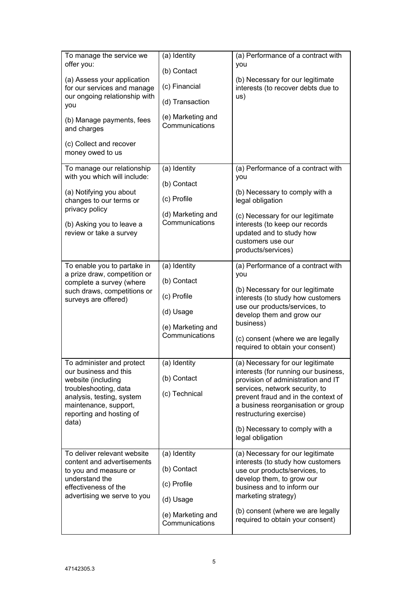| To manage the service we<br>offer you:<br>(a) Assess your application<br>for our services and manage<br>our ongoing relationship with<br>you<br>(b) Manage payments, fees<br>and charges<br>(c) Collect and recover | (a) Identity<br>(b) Contact<br>(c) Financial<br>(d) Transaction<br>(e) Marketing and<br>Communications | (a) Performance of a contract with<br>you<br>(b) Necessary for our legitimate<br>interests (to recover debts due to<br>us)                                                                                                                                                                                     |
|---------------------------------------------------------------------------------------------------------------------------------------------------------------------------------------------------------------------|--------------------------------------------------------------------------------------------------------|----------------------------------------------------------------------------------------------------------------------------------------------------------------------------------------------------------------------------------------------------------------------------------------------------------------|
| money owed to us                                                                                                                                                                                                    |                                                                                                        |                                                                                                                                                                                                                                                                                                                |
| To manage our relationship<br>with you which will include:<br>(a) Notifying you about<br>changes to our terms or<br>privacy policy<br>(b) Asking you to leave a<br>review or take a survey                          | (a) Identity<br>(b) Contact<br>(c) Profile<br>(d) Marketing and<br>Communications                      | (a) Performance of a contract with<br>you<br>(b) Necessary to comply with a<br>legal obligation<br>(c) Necessary for our legitimate<br>interests (to keep our records<br>updated and to study how<br>customers use our<br>products/services)                                                                   |
| To enable you to partake in<br>a prize draw, competition or<br>complete a survey (where<br>such draws, competitions or<br>surveys are offered)                                                                      | (a) Identity<br>(b) Contact<br>(c) Profile<br>(d) Usage<br>(e) Marketing and<br>Communications         | (a) Performance of a contract with<br>you<br>(b) Necessary for our legitimate<br>interests (to study how customers<br>use our products/services, to<br>develop them and grow our<br>business)<br>(c) consent (where we are legally<br>required to obtain your consent)                                         |
| To administer and protect<br>our business and this<br>website (including<br>troubleshooting, data<br>analysis, testing, system<br>maintenance, support,<br>reporting and hosting of<br>data)                        | (a) Identity<br>(b) Contact<br>(c) Technical                                                           | (a) Necessary for our legitimate<br>interests (for running our business,<br>provision of administration and IT<br>services, network security, to<br>prevent fraud and in the context of<br>a business reorganisation or group<br>restructuring exercise)<br>(b) Necessary to comply with a<br>legal obligation |
| To deliver relevant website<br>content and advertisements<br>to you and measure or<br>understand the<br>effectiveness of the<br>advertising we serve to you                                                         | (a) Identity<br>(b) Contact<br>(c) Profile<br>(d) Usage<br>(e) Marketing and<br>Communications         | (a) Necessary for our legitimate<br>interests (to study how customers<br>use our products/services, to<br>develop them, to grow our<br>business and to inform our<br>marketing strategy)<br>(b) consent (where we are legally<br>required to obtain your consent)                                              |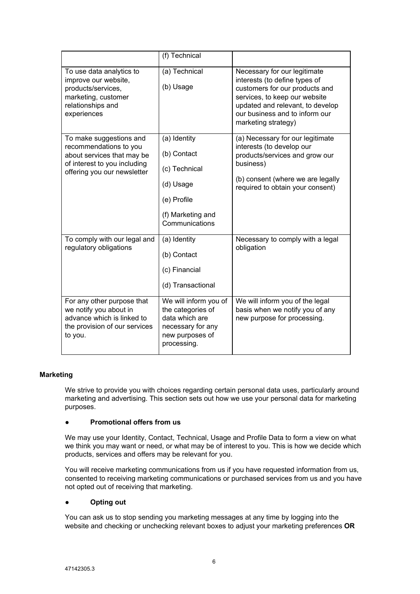|                                                                                                                                                | (f) Technical                                                                                                       |                                                                                                                                                                                                                               |
|------------------------------------------------------------------------------------------------------------------------------------------------|---------------------------------------------------------------------------------------------------------------------|-------------------------------------------------------------------------------------------------------------------------------------------------------------------------------------------------------------------------------|
| To use data analytics to<br>improve our website,<br>products/services,<br>marketing, customer<br>relationships and<br>experiences              | (a) Technical<br>(b) Usage                                                                                          | Necessary for our legitimate<br>interests (to define types of<br>customers for our products and<br>services, to keep our website<br>updated and relevant, to develop<br>our business and to inform our<br>marketing strategy) |
| To make suggestions and<br>recommendations to you<br>about services that may be<br>of interest to you including<br>offering you our newsletter | (a) Identity<br>(b) Contact<br>(c) Technical<br>(d) Usage<br>(e) Profile<br>(f) Marketing and<br>Communications     | (a) Necessary for our legitimate<br>interests (to develop our<br>products/services and grow our<br>business)<br>(b) consent (where we are legally<br>required to obtain your consent)                                         |
| To comply with our legal and<br>regulatory obligations                                                                                         | (a) Identity<br>(b) Contact<br>(c) Financial<br>(d) Transactional                                                   | Necessary to comply with a legal<br>obligation                                                                                                                                                                                |
| For any other purpose that<br>we notify you about in<br>advance which is linked to<br>the provision of our services<br>to you.                 | We will inform you of<br>the categories of<br>data which are<br>necessary for any<br>new purposes of<br>processing. | We will inform you of the legal<br>basis when we notify you of any<br>new purpose for processing.                                                                                                                             |

## **Marketing**

We strive to provide you with choices regarding certain personal data uses, particularly around marketing and advertising. This section sets out how we use your personal data for marketing purposes.

## ● **Promotional offers from us**

We may use your Identity, Contact, Technical, Usage and Profile Data to form a view on what we think you may want or need, or what may be of interest to you. This is how we decide which products, services and offers may be relevant for you.

You will receive marketing communications from us if you have requested information from us, consented to receiving marketing communications or purchased services from us and you have not opted out of receiving that marketing.

## ● **Opting out**

You can ask us to stop sending you marketing messages at any time by logging into the website and checking or unchecking relevant boxes to adjust your marketing preferences **OR**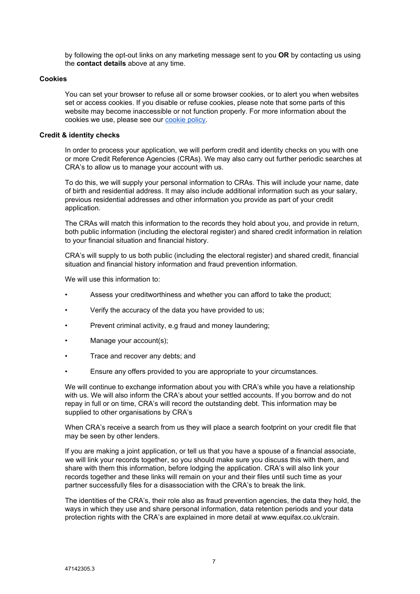by following the opt-out links on any marketing message sent to you **OR** by contacting us using the **contact details** above at any time.

#### **Cookies**

You can set your browser to refuse all or some browser cookies, or to alert you when websites set or access cookies. If you disable or refuse cookies, please note that some parts of this website may become inaccessible or not function properly. For more information about the cookies we use, please see our [cookie](https://proportunity.co/documentation/cookie-policy) policy.

### **Credit & identity checks**

In order to process your application, we will perform credit and identity checks on you with one or more Credit Reference Agencies (CRAs). We may also carry out further periodic searches at CRA's to allow us to manage your account with us.

To do this, we will supply your personal information to CRAs. This will include your name, date of birth and residential address. It may also include additional information such as your salary, previous residential addresses and other information you provide as part of your credit application.

The CRAs will match this information to the records they hold about you, and provide in return, both public information (including the electoral register) and shared credit information in relation to your financial situation and financial history.

CRA's will supply to us both public (including the electoral register) and shared credit, financial situation and financial history information and fraud prevention information.

We will use this information to:

- Assess your creditworthiness and whether you can afford to take the product;
- Verify the accuracy of the data you have provided to us;
- Prevent criminal activity, e.g fraud and money laundering;
- Manage your account(s);
- Trace and recover any debts; and
- Ensure any offers provided to you are appropriate to your circumstances.

We will continue to exchange information about you with CRA's while you have a relationship with us. We will also inform the CRA's about your settled accounts. If you borrow and do not repay in full or on time, CRA's will record the outstanding debt. This information may be supplied to other organisations by CRA's

When CRA's receive a search from us they will place a search footprint on your credit file that may be seen by other lenders.

If you are making a joint application, or tell us that you have a spouse of a financial associate, we will link your records together, so you should make sure you discuss this with them, and share with them this information, before lodging the application. CRA's will also link your records together and these links will remain on your and their files until such time as your partner successfully files for a disassociation with the CRA's to break the link.

The identities of the CRA's, their role also as fraud prevention agencies, the data they hold, the ways in which they use and share personal information, data retention periods and your data protection rights with the CRA's are explained in more detail at www.equifax.co.uk/crain.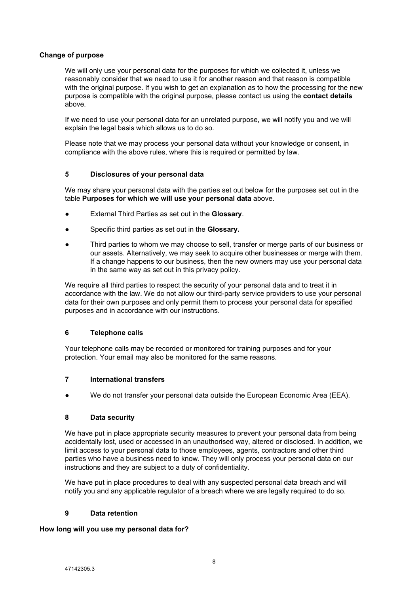## **Change of purpose**

We will only use your personal data for the purposes for which we collected it, unless we reasonably consider that we need to use it for another reason and that reason is compatible with the original purpose. If you wish to get an explanation as to how the processing for the new purpose is compatible with the original purpose, please contact us using the **contact details** above*.*

If we need to use your personal data for an unrelated purpose, we will notify you and we will explain the legal basis which allows us to do so.

Please note that we may process your personal data without your knowledge or consent, in compliance with the above rules, where this is required or permitted by law.

### **5 Disclosures of your personal data**

We may share your personal data with the parties set out below for the purposes set out in the table **Purposes for which we will use your personal data** above.

- **External Third Parties as set out in the Glossary.**
- Specific third parties as set out in the **Glossary***.*
- Third parties to whom we may choose to sell, transfer or merge parts of our business or our assets. Alternatively, we may seek to acquire other businesses or merge with them. If a change happens to our business, then the new owners may use your personal data in the same way as set out in this privacy policy.

We require all third parties to respect the security of your personal data and to treat it in accordance with the law. We do not allow our third-party service providers to use your personal data for their own purposes and only permit them to process your personal data for specified purposes and in accordance with our instructions.

## **6 Telephone calls**

<span id="page-7-0"></span>Your telephone calls may be recorded or monitored for training purposes and for your protection. Your email may also be monitored for the same reasons.

# **7 International transfers**

We do not transfer your personal data outside the European Economic Area (EEA).

## **8 Data security**

We have put in place appropriate security measures to prevent your personal data from being accidentally lost, used or accessed in an unauthorised way, altered or disclosed. In addition, we limit access to your personal data to those employees, agents, contractors and other third parties who have a business need to know. They will only process your personal data on our instructions and they are subject to a duty of confidentiality.

We have put in place procedures to deal with any suspected personal data breach and will notify you and any applicable regulator of a breach where we are legally required to do so.

## **9 Data retention**

## **How long will you use my personal data for?**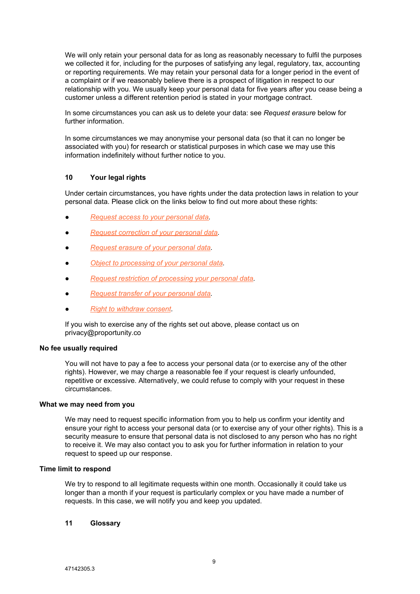We will only retain your personal data for as long as reasonably necessary to fulfil the purposes we collected it for, including for the purposes of satisfying any legal, regulatory, tax, accounting or reporting requirements. We may retain your personal data for a longer period in the event of a complaint or if we reasonably believe there is a prospect of litigation in respect to our relationship with you. We usually keep your personal data for five years after you cease being a customer unless a different retention period is stated in your mortgage contract.

In some circumstances you can ask us to delete your data: see *Request erasure* below for further information.

In some circumstances we may anonymise your personal data (so that it can no longer be associated with you) for research or statistical purposes in which case we may use this information indefinitely without further notice to you.

### **10 Your legal rights**

Under certain circumstances, you have rights under the data protection laws in relation to your personal data. Please click on the links below to find out more about these rights:

- *Request access to your personal data.*
- *Request correction of your personal data.*
- *Request erasure of your personal data.*
- *Object to [processing](#page-10-0) of your personal data.*
- *Request restriction of [processing](#page-10-1) your personal data.*
- *Request transfer of your personal data.*
- *Right to withdraw consent.*

If you wish to exercise any of the rights set out above, please contact us on privacy@proportunity.co

#### **No fee usually required**

You will not have to pay a fee to access your personal data (or to exercise any of the other rights). However, we may charge a reasonable fee if your request is clearly unfounded, repetitive or excessive. Alternatively, we could refuse to comply with your request in these circumstances.

#### **What we may need from you**

We may need to request specific information from you to help us confirm your identity and ensure your right to access your personal data (or to exercise any of your other rights). This is a security measure to ensure that personal data is not disclosed to any person who has no right to receive it. We may also contact you to ask you for further information in relation to your request to speed up our response.

#### **Time limit to respond**

We try to respond to all legitimate requests within one month. Occasionally it could take us longer than a month if your request is particularly complex or you have made a number of requests. In this case, we will notify you and keep you updated.

## **11 Glossary**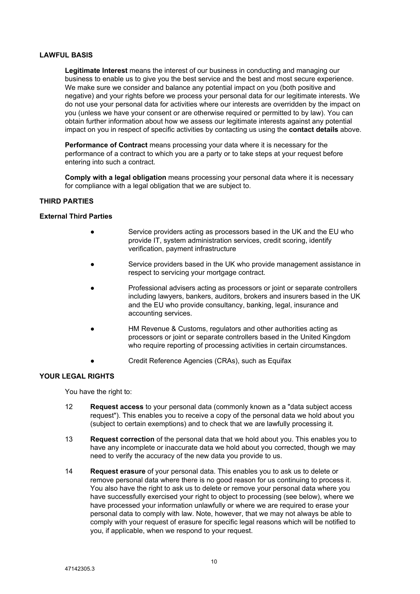### **LAWFUL BASIS**

**Legitimate Interest** means the interest of our business in conducting and managing our business to enable us to give you the best service and the best and most secure experience. We make sure we consider and balance any potential impact on you (both positive and negative) and your rights before we process your personal data for our legitimate interests. We do not use your personal data for activities where our interests are overridden by the impact on you (unless we have your consent or are otherwise required or permitted to by law). You can obtain further information about how we assess our legitimate interests against any potential impact on you in respect of specific activities by contacting us using the **contact details** above.

**Performance of Contract** means processing your data where it is necessary for the performance of a contract to which you are a party or to take steps at your request before entering into such a contract.

**Comply with a legal obligation** means processing your personal data where it is necessary for compliance with a legal obligation that we are subject to.

#### **THIRD PARTIES**

### **External Third Parties**

- Service providers acting as processors based in the UK and the EU who provide IT, system administration services, credit scoring, identify verification, payment infrastructure
- Service providers based in the UK who provide management assistance in respect to servicing your mortgage contract.
- Professional advisers acting as processors or joint or separate controllers including lawyers, bankers, auditors, brokers and insurers based in the UK and the EU who provide consultancy, banking, legal, insurance and accounting services.
- HM Revenue & Customs, regulators and other authorities acting as processors or joint or separate controllers based in the United Kingdom who require reporting of processing activities in certain circumstances.
- Credit Reference Agencies (CRAs), such as Equifax

## **YOUR LEGAL RIGHTS**

You have the right to:

- 12 **Request access** to your personal data (commonly known as a "data subject access request"). This enables you to receive a copy of the personal data we hold about you (subject to certain exemptions) and to check that we are lawfully processing it.
- 13 **Request correction** of the personal data that we hold about you. This enables you to have any incomplete or inaccurate data we hold about you corrected, though we may need to verify the accuracy of the new data you provide to us.
- 14 **Request erasure** of your personal data. This enables you to ask us to delete or remove personal data where there is no good reason for us continuing to process it. You also have the right to ask us to delete or remove your personal data where you have successfully exercised your right to object to processing (see below), where we have processed your information unlawfully or where we are required to erase your personal data to comply with law. Note, however, that we may not always be able to comply with your request of erasure for specific legal reasons which will be notified to you, if applicable, when we respond to your request.